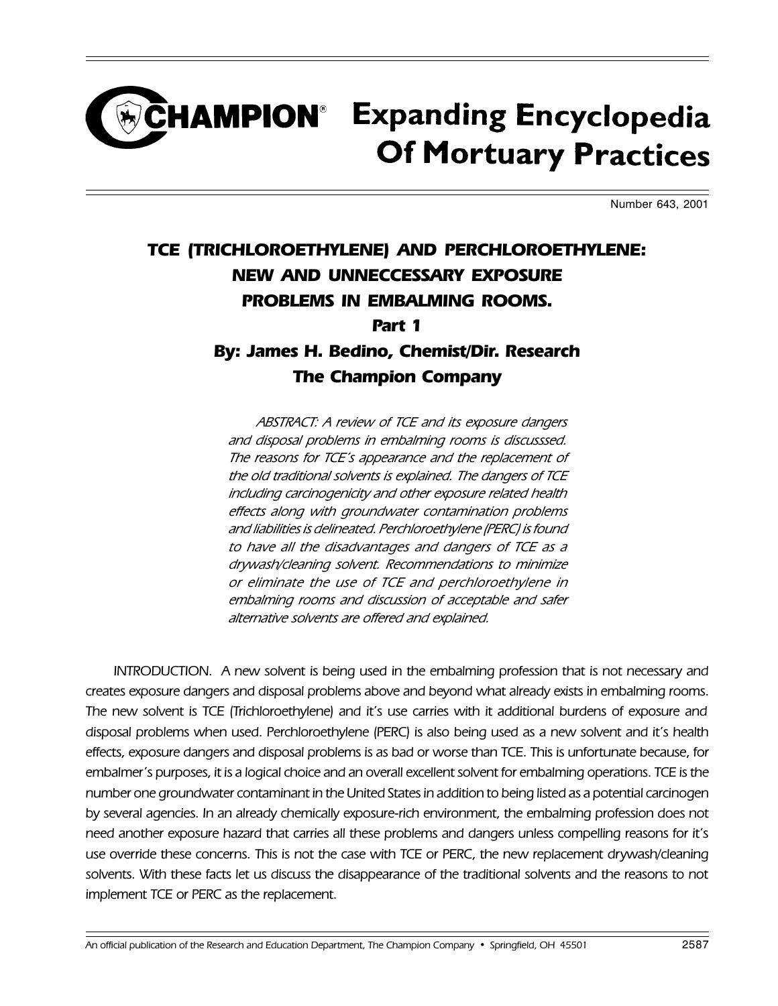## **CHAMPION**<sup>®</sup> Expanding Encyclopedia **Of Mortuary Practices**

Number 643, 2001

## TCE (TRICHLOROETHYLENE) AND PERCHLOROETHYLENE: NEW AND UNNECCESSARY EXPOSURE PROBLEMS IN EMBALMING ROOMS. Part 1 By: James H. Bedino, Chemist/Dir. Research The Champion Company

ABSTRACT: A review of TCE and its exposure dangers and disposal problems in embalming rooms is discusssed. The reasons for TCE's appearance and the replacement of the old traditional solvents is explained. The dangers of TCE including carcinogenicity and other exposure related health effects along with groundwater contamination problems and liabilities is delineated. Perchloroethylene (PERC) is found to have all the disadvantages and dangers of TCE as a drywash/cleaning solvent. Recommendations to minimize or eliminate the use of TCE and perchloroethylene in embalming rooms and discussion of acceptable and safer alternative solvents are offered and explained.

INTRODUCTION. A new solvent is being used in the embalming profession that is not necessary and creates exposure dangers and disposal problems above and beyond what already exists in embalming rooms. The new solvent is TCE (Trichloroethylene) and it's use carries with it additional burdens of exposure and disposal problems when used. Perchloroethylene (PERC) is also being used as a new solvent and it's health effects, exposure dangers and disposal problems is as bad or worse than TCE. This is unfortunate because, for embalmer's purposes, it is a logical choice and an overall excellent solvent for embalming operations. TCE is the number one groundwater contaminant in the United States in addition to being listed as a potential carcinogen by several agencies. In an already chemically exposure-rich environment, the embalming profession does not need another exposure hazard that carries all these problems and dangers unless compelling reasons for it's use override these concerns. This is not the case with TCE or PERC, the new replacement drywash/cleaning solvents. With these facts let us discuss the disappearance of the traditional solvents and the reasons to not implement TCE or PERC as the replacement.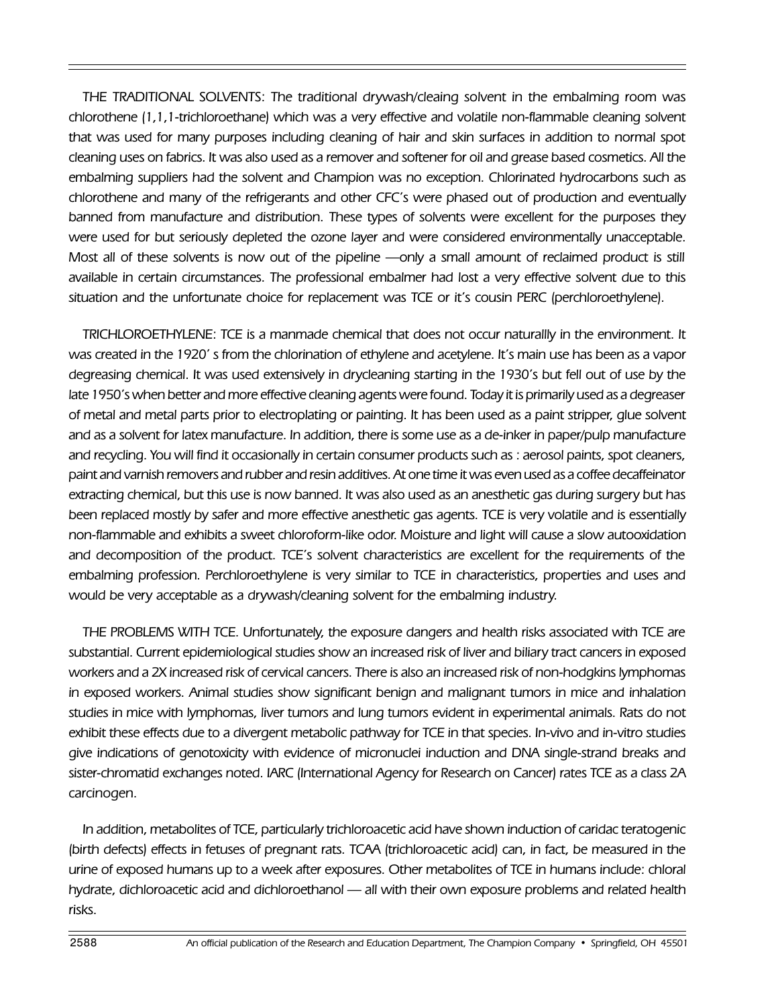THE TRADITIONAL SOLVENTS: The traditional drywash/cleaing solvent in the embalming room was chlorothene (1,1,1-trichloroethane) which was a very effective and volatile non-flammable cleaning solvent that was used for many purposes including cleaning of hair and skin surfaces in addition to normal spot cleaning uses on fabrics. It was also used as a remover and softener for oil and grease based cosmetics. All the embalming suppliers had the solvent and Champion was no exception. Chlorinated hydrocarbons such as chlorothene and many of the refrigerants and other CFC's were phased out of production and eventually banned from manufacture and distribution. These types of solvents were excellent for the purposes they were used for but seriously depleted the ozone layer and were considered environmentally unacceptable. Most all of these solvents is now out of the pipeline - only a small amount of reclaimed product is still available in certain circumstances. The professional embalmer had lost a very effective solvent due to this situation and the unfortunate choice for replacement was TCE or it's cousin PERC (perchloroethylene).

TRICHLOROETHYLENE: TCE is a manmade chemical that does not occur naturallly in the environment. It was created in the 1920's from the chlorination of ethylene and acetylene. It's main use has been as a vapor degreasing chemical. It was used extensively in drycleaning starting in the 1930's but fell out of use by the late 1950's when better and more effective cleaning agents were found. Today it is primarily used as a degreaser of metal and metal parts prior to electroplating or painting. It has been used as a paint stripper, glue solvent and as a solvent for latex manufacture. In addition, there is some use as a de-inker in paper/pulp manufacture and recycling. You will find it occasionally in certain consumer products such as : aerosol paints, spot cleaners, paint and varnish removers and rubber and resin additives. At one time it was even used as a coffee decaffeinator extracting chemical, but this use is now banned. It was also used as an anesthetic gas during surgery but has been replaced mostly by safer and more effective anesthetic gas agents. TCE is very volatile and is essentially non-flammable and exhibits a sweet chloroform-like odor. Moisture and light will cause a slow autooxidation and decomposition of the product. TCE's solvent characteristics are excellent for the requirements of the embalming profession. Perchloroethylene is very similar to TCE in characteristics, properties and uses and would be very acceptable as a drywash/cleaning solvent for the embalming industry.

THE PROBLEMS WITH TCE. Unfortunately, the exposure dangers and health risks associated with TCE are substantial. Current epidemiological studies show an increased risk of liver and biliary tract cancers in exposed workers and a 2X increased risk of cervical cancers. There is also an increased risk of non-hodgkins lymphomas in exposed workers. Animal studies show significant benign and malignant tumors in mice and inhalation studies in mice with lymphomas, liver tumors and lung tumors evident in experimental animals. Rats do not exhibit these effects due to a divergent metabolic pathway for TCE in that species. In-vivo and in-vitro studies give indications of genotoxicity with evidence of micronuclei induction and DNA single-strand breaks and sister-chromatid exchanges noted. IARC (International Agency for Research on Cancer) rates TCE as a class 2A carcinogen.

In addition, metabolites of TCE, particularly trichloroacetic acid have shown induction of caridac teratogenic (birth defects) effects in fetuses of pregnant rats. TCAA (trichloroacetic acid) can, in fact, be measured in the urine of exposed humans up to a week after exposures. Other metabolites of TCE in humans include: chloral hydrate, dichloroacetic acid and dichloroethanol - all with their own exposure problems and related health risks.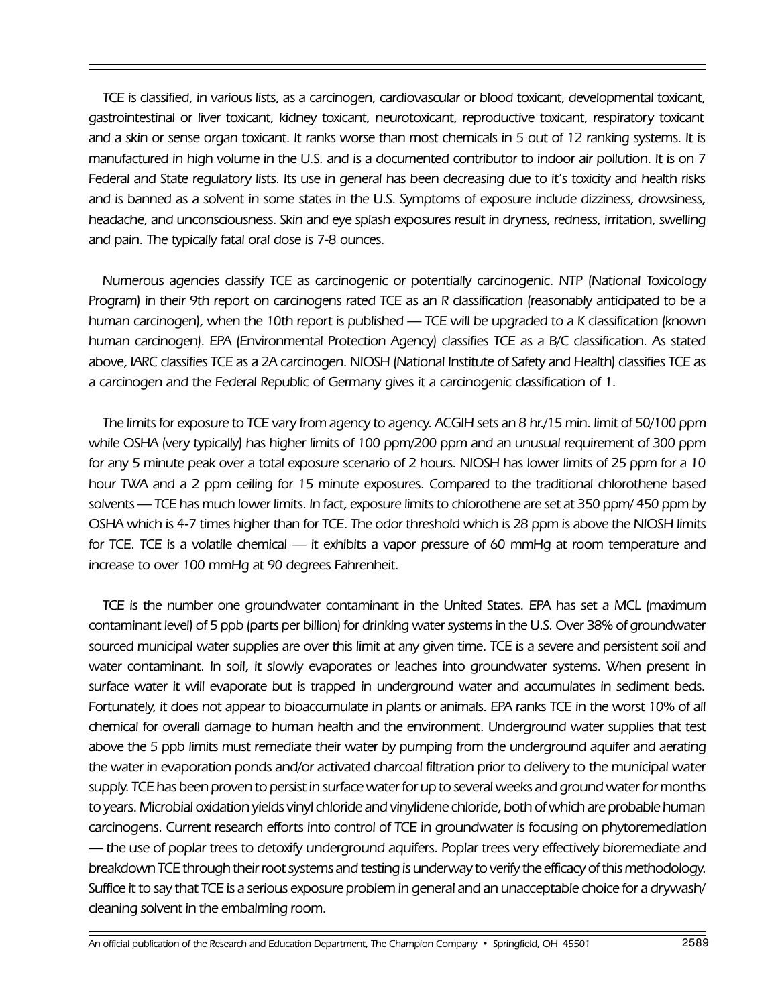TCE is classified, in various lists, as a carcinogen, cardiovascular or blood toxicant, developmental toxicant, gastrointestinal or liver toxicant, kidney toxicant, neurotoxicant, reproductive toxicant, respiratory toxicant and a skin or sense organ toxicant. It ranks worse than most chemicals in 5 out of 12 ranking systems. It is manufactured in high volume in the U.S. and is a documented contributor to indoor air pollution. It is on 7 Federal and State regulatory lists. Its use in general has been decreasing due to it's toxicity and health risks and is banned as a solvent in some states in the U.S. Symptoms of exposure include dizziness, drowsiness, headache, and unconsciousness. Skin and eye splash exposures result in dryness, redness, irritation, swelling and pain. The typically fatal oral dose is 7-8 ounces.

Numerous agencies classify TCE as carcinogenic or potentially carcinogenic. NTP (National Toxicology Program) in their 9th report on carcinogens rated TCE as an R classification (reasonably anticipated to be a human carcinogen), when the 10th report is published — TCE will be upgraded to a K classification (known human carcinogen). EPA (Environmental Protection Agency) classifies TCE as a B/C classification. As stated above, IARC classifies TCE as a 2A carcinogen. NIOSH (National Institute of Safety and Health) classifies TCE as a carcinogen and the Federal Republic of Germany gives it a carcinogenic classification of 1.

The limits for exposure to TCE vary from agency to agency. ACGIH sets an 8 hr./15 min. limit of 50/100 ppm while OSHA (very typically) has higher limits of 100 ppm/200 ppm and an unusual requirement of 300 ppm for any 5 minute peak over a total exposure scenario of 2 hours. NIOSH has lower limits of 25 ppm for a 10 hour TWA and a 2 ppm ceiling for 15 minute exposures. Compared to the traditional chlorothene based solvents — TCE has much lower limits. In fact, exposure limits to chlorothene are set at 350 ppm/ 450 ppm by OSHA which is 4-7 times higher than for TCE. The odor threshold which is 28 ppm is above the NIOSH limits for TCE. TCE is a volatile chemical — it exhibits a vapor pressure of 60 mmHg at room temperature and increase to over 100 mmHg at 90 degrees Fahrenheit.

TCE is the number one groundwater contaminant in the United States. EPA has set a MCL (maximum contaminant level) of 5 ppb (parts per billion) for drinking water systems in the U.S. Over 38% of groundwater sourced municipal water supplies are over this limit at any given time. TCE is a severe and persistent soil and water contaminant. In soil, it slowly evaporates or leaches into groundwater systems. When present in surface water it will evaporate but is trapped in underground water and accumulates in sediment beds. Fortunately, it does not appear to bioaccumulate in plants or animals. EPA ranks TCE in the worst 10% of all chemical for overall damage to human health and the environment. Underground water supplies that test above the 5 ppb limits must remediate their water by pumping from the underground aquifer and aerating the water in evaporation ponds and/or activated charcoal filtration prior to delivery to the municipal water supply. TCE has been proven to persist in surface water for up to several weeks and ground water for months to years. Microbial oxidation yields vinyl chloride and vinylidene chloride, both of which are probable human carcinogens. Current research efforts into control of TCE in groundwater is focusing on phytoremediation - the use of poplar trees to detoxify underground aquifers. Poplar trees very effectively bioremediate and breakdown TCE through their root systems and testing is underway to verify the efficacy of this methodology. Suffice it to say that TCE is a serious exposure problem in general and an unacceptable choice for a drywash/ cleaning solvent in the embalming room.